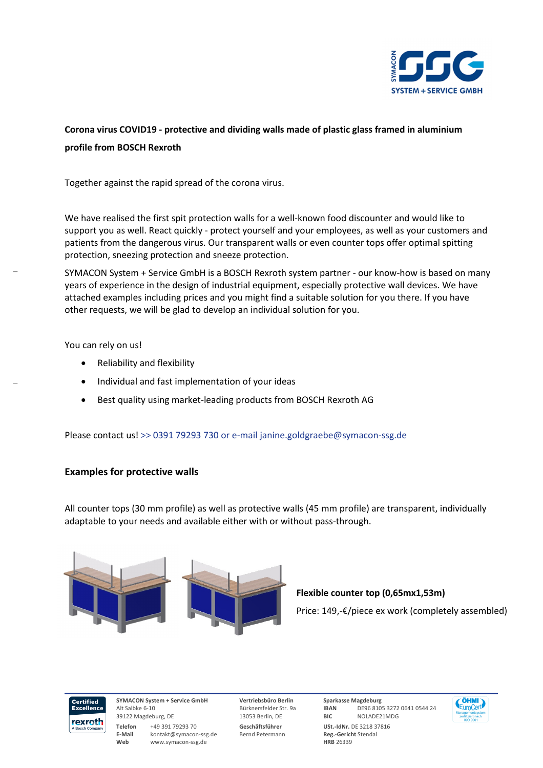

## **Corona virus COVID19 - protective and dividing walls made of plastic glass framed in aluminium profile from BOSCH Rexroth**

Together against the rapid spread of the corona virus.

We have realised the first spit protection walls for a well-known food discounter and would like to support you as well. React quickly - protect yourself and your employees, as well as your customers and patients from the dangerous virus. Our transparent walls or even counter tops offer optimal spitting protection, sneezing protection and sneeze protection.

SYMACON System + Service GmbH is a BOSCH Rexroth system partner - our know-how is based on many years of experience in the design of industrial equipment, especially protective wall devices. We have attached examples including prices and you might find a suitable solution for you there. If you have other requests, we will be glad to develop an individual solution for you.

You can rely on us!

 $\overline{a}$ 

 $\overline{a}$ 

- Reliability and flexibility
- Individual and fast implementation of your ideas
- Best quality using market-leading products from BOSCH Rexroth AG

Please contact us! >> 0391 79293 730 or e-mail janine.goldgraebe@symacon-ssg.de

## **Examples for protective walls**

All counter tops (30 mm profile) as well as protective walls (45 mm profile) are transparent, individually adaptable to your needs and available either with or without pass-through.



**Flexible counter top (0,65mx1,53m)** 

Price: 149,-€/piece ex work (completely assembled)



**SYMACON System + Service GmbH**  Alt Salbke 6-10 39122 Magdeburg, DE **Telefon** +49 391 79293 70 **E-Mail** kontakt@symacon-ssg.de **Web** www.symacon-ssg.de

**Vertriebsbüro Berlin**  Bürknersfelder Str. 9a 13053 Berlin, DE **Geschäftsführer**  Bernd Petermann

**Sparkasse Magdeburg IBAN** DE96 8105 3272 0641 0544 24 **BIC** NOLADE21MDG **USt.-IdNr.** DE 3218 37816 **Reg.-Gericht** Stendal **HRB** 26339